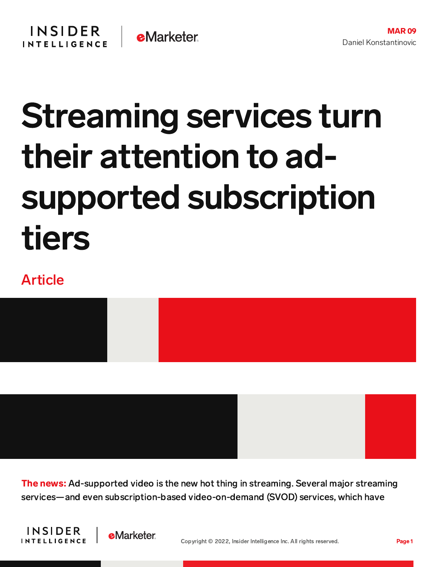## Streaming services turn their attention to adsupported subscription tiers

## Article



**The news:** Ad-supported video is the new hot thing in streaming. Several major streaming services—and even subscription-based video-on-demand (SVOD) services, which have



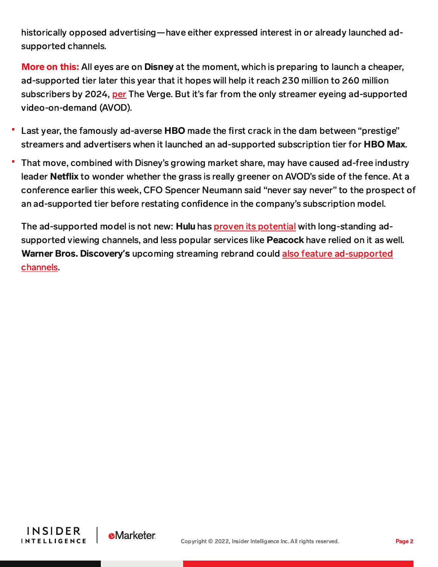historically opposed advertising—have either expressed interest in or already launched adsupported channels.

More on this: All eyes are on Disney at the moment, which is preparing to launch a cheaper, ad-supported tier later this year that it hopes will help it reach 230 million to 260 million subscribers by 2024, [per](https://www.theverge.com/2022/3/9/22967831/disney-plus-ads-hbo-max-hulu-streaming) The Verge. But it's far from the only streamer eyeing ad-supported video-on-demand (AVOD).

- Last year, the famously ad-averse HBO made the first crack in the dam between "prestige" streamers and advertisers when it launched an ad-supported subscription tier for HBO Max.
- That move, combined with Disney's growing market share, may have caused ad-free industry leader Netflix to wonder whether the grass is really greener on AVOD's side of the fence. At a conference earlier this week, CFO Spencer Neumann said "never say never" to the prospect of an ad-supported tier before restating confidence in the company's subscription model.

The ad-supported model is not new: Hulu has **proven its [potential](https://content-na2.emarketer.com/one-platform-wins-big-ad-supported-streaming-wars)** with long-standing adsupported viewing channels, and less popular services like **Peacock** have relied on it as well. Warner Bros. Discovery**'**s upcoming streaming rebrand could also feature [ad-supported](https://content-na2.emarketer.com/warner-bros-discovery-s-streaming-service-learns-peacock-could-soon-offer-free-ad-supported-tier) channels.



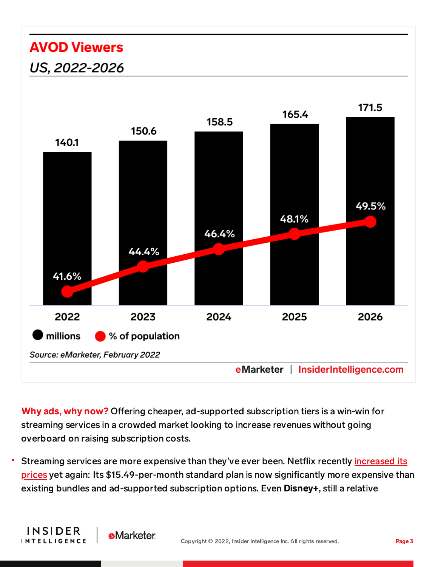## **AVOD Viewers** US, 2022-2026

**INSIDER** 

**INTELLIGENCE** 

**eMarketer** 



Why ads, why now? Offering cheaper, ad-supported subscription tiers is a win-win for streaming services in a crowded market looking to increase revenues without going overboard on raising subscription costs.

Streaming services are more expensive than they've ever been. Netflix recently increased its prices yet again: Its [\\$15.49-per-month](https://content-na2.emarketer.com/netflix-s-price-hike-won-t-affect-subscriber-growth) standard plan is now significantly more expensive than existing bundles and ad-supported subscription options. Even Disney+, still a relative